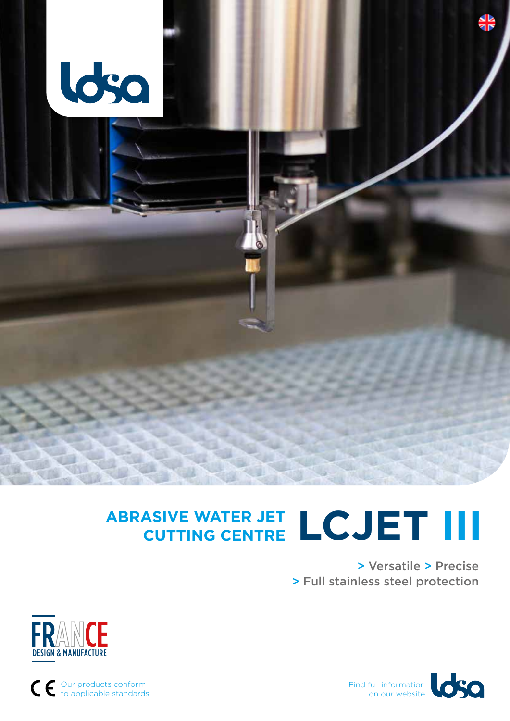

## **ABRASIVE WATER JET CUTTING CENTRE LCJET III**

> Versatile > Precise > Full stainless steel protection





Our products conform to applicable standards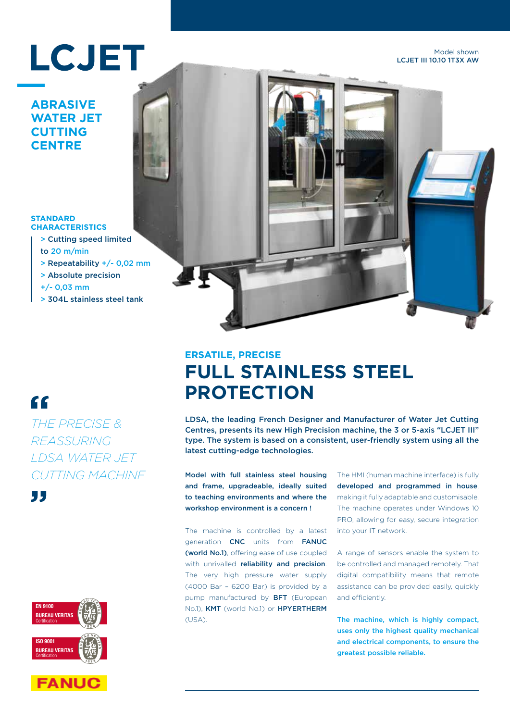# **LCJET**

Model shown LCJET III 10.10 1T3X AW

#### **ABRASIVE WATER JET CUTTING CENTRE**

#### **STANDARD CHARACTERISTICS**

- > Cutting speed limited to 20 m/min
- > Repeatability +/- 0,02 mm
- > Absolute precision

+/- 0,03 mm

> 304L stainless steel tank

## "

*THE PRECISE & REASSURING LDSA WATER JET CUTTING MACHINE*









## **ERSATILE, PRECISE FULL STAINLESS STEEL PROTECTION**

LDSA, the leading French Designer and Manufacturer of Water Jet Cutting Centres, presents its new High Precision machine, the 3 or 5-axis "LCJET III" type. The system is based on a consistent, user-friendly system using all the latest cutting-edge technologies.

Model with full stainless steel housing and frame, upgradeable, ideally suited to teaching environments and where the workshop environment is a concern !

The machine is controlled by a latest generation CNC units from FANUC (world No.1), offering ease of use coupled with unrivalled reliability and precision. The very high pressure water supply (4000 Bar – 6200 Bar) is provided by a pump manufactured by BFT (European No.1), KMT (world No.1) or HPYERTHERM (USA).

The HMI (human machine interface) is fully developed and programmed in house, making it fully adaptable and customisable. The machine operates under Windows 10 PRO, allowing for easy, secure integration into your IT network.

A range of sensors enable the system to be controlled and managed remotely. That digital compatibility means that remote assistance can be provided easily, quickly and efficiently.

The machine, which is highly compact, uses only the highest quality mechanical and electrical components, to ensure the greatest possible reliable.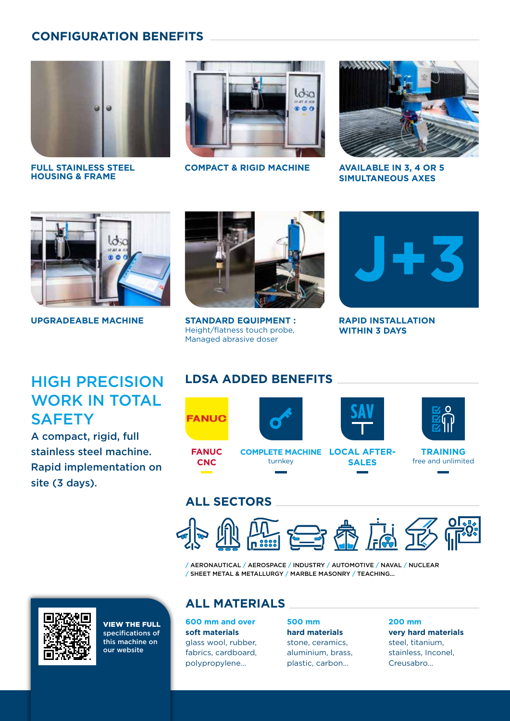#### **CONFIGURATION BENEFITS**



**FULL STAINLESS STEEL HOUSING & FRAME**



**COMPACT & RIGID MACHINE AVAILABLE IN 3, 4 OR 5** 



**SIMULTANEOUS AXES**



**UPGRADEABLE MACHINE**



**STANDARD EQUIPMENT :** Height/flatness touch probe, Managed abrasive doser



**RAPID INSTALLATION WITHIN 3 DAYS**

## HIGH PRECISION WORK IN TOTAL **SAFETY**

A compact, rigid, full stainless steel machine. Rapid implementation on site (3 days).

### **LDSA ADDED BENEFITS**



### **ALL SECTORS**



/ AERONAUTICAL / AEROSPACE / INDUSTRY / AUTOMOTIVE / NAVAL / NUCLEAR / SHEET METAL & METALLURGY / MARBLE MASONRY / TEACHING...



VIEW THE FULL specifications of this machine on our website

#### **ALL MATERIALS**

**600 mm and over soft materials** glass wool, rubber, fabrics, cardboard, polypropylene…

**500 mm hard materials** stone, ceramics, aluminium, brass, plastic, carbon…

**200 mm very hard materials** steel, titanium, stainless, Inconel, Creusabro…